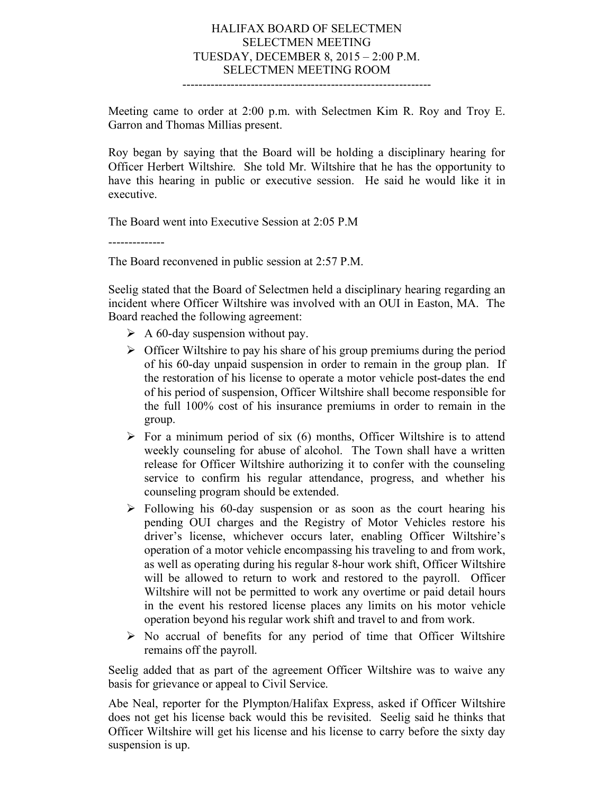## HALIFAX BOARD OF SELECTMEN SELECTMEN MEETING TUESDAY, DECEMBER 8, 2015 – 2:00 P.M. SELECTMEN MEETING ROOM --------------------------------------------------------------

Meeting came to order at 2:00 p.m. with Selectmen Kim R. Roy and Troy E. Garron and Thomas Millias present.

Roy began by saying that the Board will be holding a disciplinary hearing for Officer Herbert Wiltshire. She told Mr. Wiltshire that he has the opportunity to have this hearing in public or executive session. He said he would like it in executive.

The Board went into Executive Session at 2:05 P.M

--------------

The Board reconvened in public session at 2:57 P.M.

Seelig stated that the Board of Selectmen held a disciplinary hearing regarding an incident where Officer Wiltshire was involved with an OUI in Easton, MA. The Board reached the following agreement:

- $\triangleright$  A 60-day suspension without pay.
- $\triangleright$  Officer Wiltshire to pay his share of his group premiums during the period of his 60-day unpaid suspension in order to remain in the group plan. If the restoration of his license to operate a motor vehicle post-dates the end of his period of suspension, Officer Wiltshire shall become responsible for the full 100% cost of his insurance premiums in order to remain in the group.
- $\triangleright$  For a minimum period of six (6) months. Officer Wiltshire is to attend weekly counseling for abuse of alcohol. The Town shall have a written release for Officer Wiltshire authorizing it to confer with the counseling service to confirm his regular attendance, progress, and whether his counseling program should be extended.
- $\triangleright$  Following his 60-day suspension or as soon as the court hearing his pending OUI charges and the Registry of Motor Vehicles restore his driver's license, whichever occurs later, enabling Officer Wiltshire's operation of a motor vehicle encompassing his traveling to and from work, as well as operating during his regular 8-hour work shift, Officer Wiltshire will be allowed to return to work and restored to the payroll. Officer Wiltshire will not be permitted to work any overtime or paid detail hours in the event his restored license places any limits on his motor vehicle operation beyond his regular work shift and travel to and from work.
- $\triangleright$  No accrual of benefits for any period of time that Officer Wiltshire remains off the payroll.

Seelig added that as part of the agreement Officer Wiltshire was to waive any basis for grievance or appeal to Civil Service.

Abe Neal, reporter for the Plympton/Halifax Express, asked if Officer Wiltshire does not get his license back would this be revisited. Seelig said he thinks that Officer Wiltshire will get his license and his license to carry before the sixty day suspension is up.